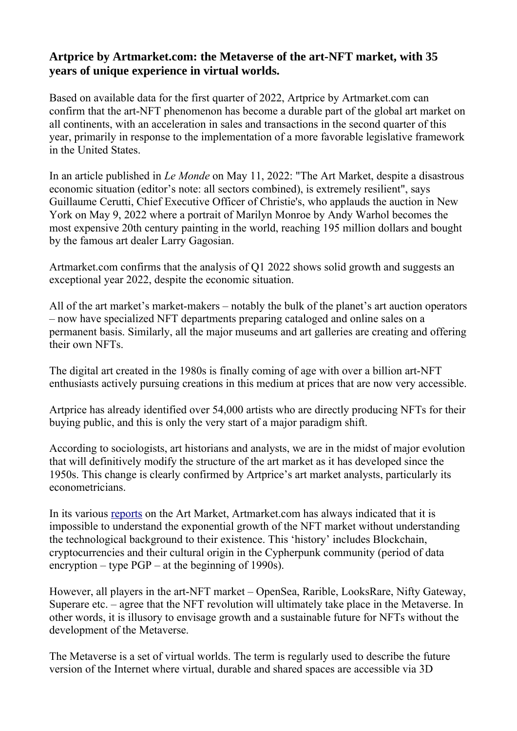## **Artprice by Artmarket.com: the Metaverse of the art-NFT market, with 35 years of unique experience in virtual worlds.**

Based on available data for the first quarter of 2022, Artprice by Artmarket.com can confirm that the art-NFT phenomenon has become a durable part of the global art market on all continents, with an acceleration in sales and transactions in the second quarter of this year, primarily in response to the implementation of a more favorable legislative framework in the United States.

In an article published in *Le Monde* on May 11, 2022: "The Art Market, despite a disastrous economic situation (editor's note: all sectors combined), is extremely resilient", says Guillaume Cerutti, Chief Executive Officer of Christie's, who applauds the auction in New York on May 9, 2022 where a portrait of Marilyn Monroe by Andy Warhol becomes the most expensive 20th century painting in the world, reaching 195 million dollars and bought by the famous art dealer Larry Gagosian.

Artmarket.com confirms that the analysis of Q1 2022 shows solid growth and suggests an exceptional year 2022, despite the economic situation.

All of the art market's market-makers – notably the bulk of the planet's art auction operators – now have specialized NFT departments preparing cataloged and online sales on a permanent basis. Similarly, all the major museums and art galleries are creating and offering their own NFTs.

The digital art created in the 1980s is finally coming of age with over a billion art-NFT enthusiasts actively pursuing creations in this medium at prices that are now very accessible.

Artprice has already identified over 54,000 artists who are directly producing NFTs for their buying public, and this is only the very start of a major paradigm shift.

According to sociologists, art historians and analysts, we are in the midst of major evolution that will definitively modify the structure of the art market as it has developed since the 1950s. This change is clearly confirmed by Artprice's art market analysts, particularly its econometricians.

In its various [reports](https://www.artprice.com/artprice-reports/the-art-market-in-2021) on the Art Market, Artmarket.com has always indicated that it is impossible to understand the exponential growth of the NFT market without understanding the technological background to their existence. This 'history' includes Blockchain, cryptocurrencies and their cultural origin in the Cypherpunk community (period of data encryption – type PGP – at the beginning of 1990s).

However, all players in the art-NFT market – OpenSea, Rarible, LooksRare, Nifty Gateway, Superare etc. – agree that the NFT revolution will ultimately take place in the Metaverse. In other words, it is illusory to envisage growth and a sustainable future for NFTs without the development of the Metaverse.

The Metaverse is a set of virtual worlds. The term is regularly used to describe the future version of the Internet where virtual, durable and shared spaces are accessible via 3D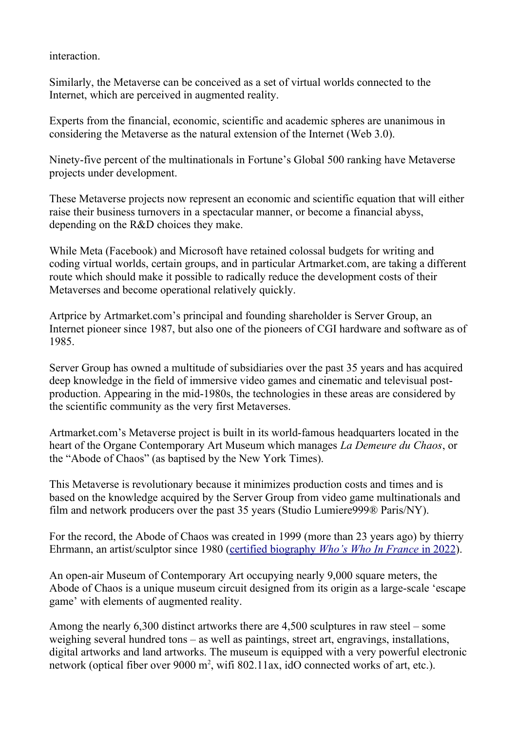interaction.

Similarly, the Metaverse can be conceived as a set of virtual worlds connected to the Internet, which are perceived in augmented reality.

Experts from the financial, economic, scientific and academic spheres are unanimous in considering the Metaverse as the natural extension of the Internet (Web 3.0).

Ninety-five percent of the multinationals in Fortune's Global 500 ranking have Metaverse projects under development.

These Metaverse projects now represent an economic and scientific equation that will either raise their business turnovers in a spectacular manner, or become a financial abyss, depending on the R&D choices they make.

While Meta (Facebook) and Microsoft have retained colossal budgets for writing and coding virtual worlds, certain groups, and in particular Artmarket.com, are taking a different route which should make it possible to radically reduce the development costs of their Metaverses and become operational relatively quickly.

Artprice by Artmarket.com's principal and founding shareholder is Server Group, an Internet pioneer since 1987, but also one of the pioneers of CGI hardware and software as of 1985.

Server Group has owned a multitude of subsidiaries over the past 35 years and has acquired deep knowledge in the field of immersive video games and cinematic and televisual postproduction. Appearing in the mid-1980s, the technologies in these areas are considered by the scientific community as the very first Metaverses.

Artmarket.com's Metaverse project is built in its world-famous headquarters located in the heart of the Organe Contemporary Art Museum which manages *La Demeure du Chaos*, or the "Abode of Chaos" (as baptised by the New York Times).

This Metaverse is revolutionary because it minimizes production costs and times and is based on the knowledge acquired by the Server Group from video game multinationals and film and network producers over the past 35 years (Studio Lumiere999® Paris/NY).

For the record, the Abode of Chaos was created in 1999 (more than 23 years ago) by thierry Ehrmann, an artist/sculptor since 1980 ( [certified biography](https://imgpublic.artprice.com/img/wp/sites/11/2021/11/Biographie_thierry_Ehrmann_2022_WhosWhoInFrance.pdf) *[Who's Who In France](https://imgpublic.artprice.com/img/wp/sites/11/2021/11/Biographie_thierry_Ehrmann_2022_WhosWhoInFrance.pdf)* [in 2022](https://imgpublic.artprice.com/img/wp/sites/11/2021/11/Biographie_thierry_Ehrmann_2022_WhosWhoInFrance.pdf)).

An open-air Museum of Contemporary Art occupying nearly 9,000 square meters, the Abode of Chaos is a unique museum circuit designed from its origin as a large-scale 'escape game' with elements of augmented reality.

Among the nearly 6,300 distinct artworks there are 4,500 sculptures in raw steel – some weighing several hundred tons – as well as paintings, street art, engravings, installations, digital artworks and land artworks. The museum is equipped with a very powerful electronic network (optical fiber over 9000 m<sup>2</sup>, wifi 802.11ax, idO connected works of art, etc.).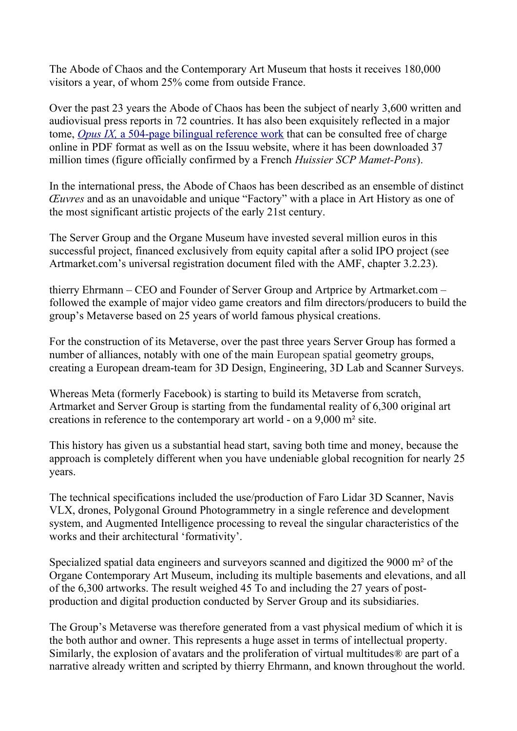The Abode of Chaos and the Contemporary Art Museum that hosts it receives 180,000 visitors a year, of whom 25% come from outside France.

Over the past 23 years the Abode of Chaos has been the subject of nearly 3,600 written and audiovisual press reports in 72 countries. It has also been exquisitely reflected in a major tome, *[Opus IX,](https://issuu.com/demeureduchaos/docs/demeureduchaos-abodeofchaos-opus-ix-1999-2013)* [a 504-page bilingual reference work](https://issuu.com/demeureduchaos/docs/demeureduchaos-abodeofchaos-opus-ix-1999-2013) that can be consulted free of charge online in PDF format as well as on the Issuu website, where it has been downloaded 37 million times (figure officially confirmed by a French *Huissier SCP Mamet-Pons*).

In the international press, the Abode of Chaos has been described as an ensemble of distinct *Œuvres* and as an unavoidable and unique "Factory" with a place in Art History as one of the most significant artistic projects of the early 21st century.

The Server Group and the Organe Museum have invested several million euros in this successful project, financed exclusively from equity capital after a solid IPO project (see Artmarket.com's universal registration document filed with the AMF, chapter 3.2.23).

thierry Ehrmann – CEO and Founder of Server Group and Artprice by Artmarket.com – followed the example of major video game creators and film directors/producers to build the group's Metaverse based on 25 years of world famous physical creations.

For the construction of its Metaverse, over the past three years Server Group has formed a number of alliances, notably with one of the main European spatial geometry groups, creating a European dream-team for 3D Design, Engineering, 3D Lab and Scanner Surveys.

Whereas Meta (formerly Facebook) is starting to build its Metaverse from scratch, Artmarket and Server Group is starting from the fundamental reality of 6,300 original art creations in reference to the contemporary art world - on a 9,000 m² site.

This history has given us a substantial head start, saving both time and money, because the approach is completely different when you have undeniable global recognition for nearly 25 years.

The technical specifications included the use/production of Faro Lidar 3D Scanner, Navis VLX, drones, Polygonal Ground Photogrammetry in a single reference and development system, and Augmented Intelligence processing to reveal the singular characteristics of the works and their architectural 'formativity'.

Specialized spatial data engineers and surveyors scanned and digitized the 9000 m² of the Organe Contemporary Art Museum, including its multiple basements and elevations, and all of the 6,300 artworks. The result weighed 45 To and including the 27 years of postproduction and digital production conducted by Server Group and its subsidiaries.

The Group's Metaverse was therefore generated from a vast physical medium of which it is the both author and owner. This represents a huge asset in terms of intellectual property. Similarly, the explosion of avatars and the proliferation of virtual multitudes® are part of a narrative already written and scripted by thierry Ehrmann, and known throughout the world.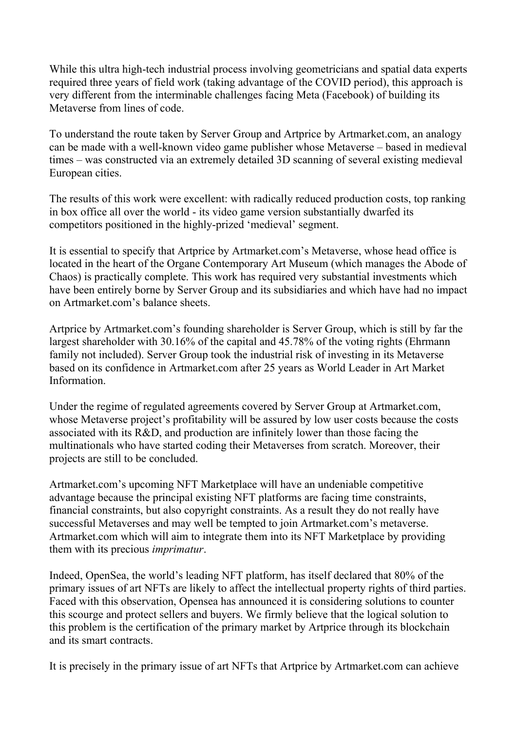While this ultra high-tech industrial process involving geometricians and spatial data experts required three years of field work (taking advantage of the COVID period), this approach is very different from the interminable challenges facing Meta (Facebook) of building its Metaverse from lines of code.

To understand the route taken by Server Group and Artprice by Artmarket.com, an analogy can be made with a well-known video game publisher whose Metaverse – based in medieval times – was constructed via an extremely detailed 3D scanning of several existing medieval European cities.

The results of this work were excellent: with radically reduced production costs, top ranking in box office all over the world - its video game version substantially dwarfed its competitors positioned in the highly-prized 'medieval' segment.

It is essential to specify that Artprice by Artmarket.com's Metaverse, whose head office is located in the heart of the Organe Contemporary Art Museum (which manages the Abode of Chaos) is practically complete. This work has required very substantial investments which have been entirely borne by Server Group and its subsidiaries and which have had no impact on Artmarket.com's balance sheets.

Artprice by Artmarket.com's founding shareholder is Server Group, which is still by far the largest shareholder with 30.16% of the capital and 45.78% of the voting rights (Ehrmann family not included). Server Group took the industrial risk of investing in its Metaverse based on its confidence in Artmarket.com after 25 years as World Leader in Art Market **Information** 

Under the regime of regulated agreements covered by Server Group at Artmarket.com, whose Metaverse project's profitability will be assured by low user costs because the costs associated with its R&D, and production are infinitely lower than those facing the multinationals who have started coding their Metaverses from scratch. Moreover, their projects are still to be concluded.

Artmarket.com's upcoming NFT Marketplace will have an undeniable competitive advantage because the principal existing NFT platforms are facing time constraints, financial constraints, but also copyright constraints. As a result they do not really have successful Metaverses and may well be tempted to join Artmarket.com's metaverse. Artmarket.com which will aim to integrate them into its NFT Marketplace by providing them with its precious *imprimatur*.

Indeed, OpenSea, the world's leading NFT platform, has itself declared that 80% of the primary issues of art NFTs are likely to affect the intellectual property rights of third parties. Faced with this observation, Opensea has announced it is considering solutions to counter this scourge and protect sellers and buyers. We firmly believe that the logical solution to this problem is the certification of the primary market by Artprice through its blockchain and its smart contracts.

It is precisely in the primary issue of art NFTs that Artprice by Artmarket.com can achieve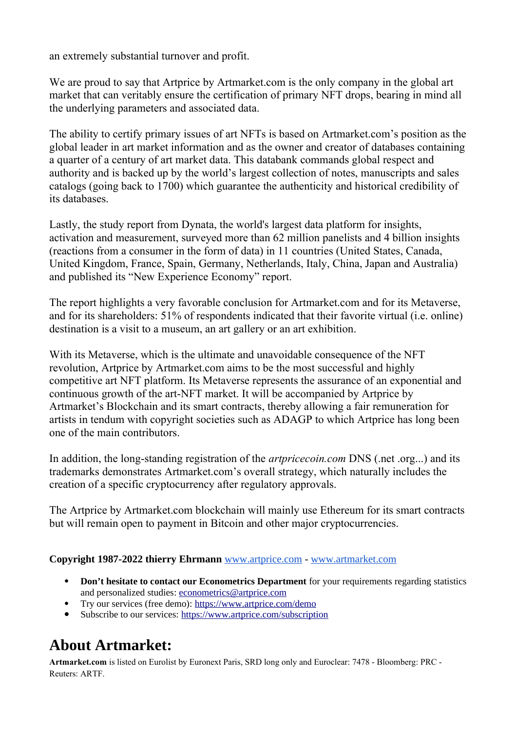an extremely substantial turnover and profit.

We are proud to say that Artprice by Artmarket.com is the only company in the global art market that can veritably ensure the certification of primary NFT drops, bearing in mind all the underlying parameters and associated data.

The ability to certify primary issues of art NFTs is based on Artmarket.com's position as the global leader in art market information and as the owner and creator of databases containing a quarter of a century of art market data. This databank commands global respect and authority and is backed up by the world's largest collection of notes, manuscripts and sales catalogs (going back to 1700) which guarantee the authenticity and historical credibility of its databases.

Lastly, the study report from Dynata, the world's largest data platform for insights, activation and measurement, surveyed more than 62 million panelists and 4 billion insights (reactions from a consumer in the form of data) in 11 countries (United States, Canada, United Kingdom, France, Spain, Germany, Netherlands, Italy, China, Japan and Australia) and published its "New Experience Economy" report.

The report highlights a very favorable conclusion for Artmarket.com and for its Metaverse, and for its shareholders: 51% of respondents indicated that their favorite virtual (i.e. online) destination is a visit to a museum, an art gallery or an art exhibition.

With its Metaverse, which is the ultimate and unavoidable consequence of the NFT revolution, Artprice by Artmarket.com aims to be the most successful and highly competitive art NFT platform. Its Metaverse represents the assurance of an exponential and continuous growth of the art-NFT market. It will be accompanied by Artprice by Artmarket's Blockchain and its smart contracts, thereby allowing a fair remuneration for artists in tendum with copyright societies such as ADAGP to which Artprice has long been one of the main contributors.

In addition, the long-standing registration of the *artpricecoin.com* DNS (.net .org...) and its trademarks demonstrates Artmarket.com's overall strategy, which naturally includes the creation of a specific cryptocurrency after regulatory approvals.

The Artprice by Artmarket.com blockchain will mainly use Ethereum for its smart contracts but will remain open to payment in Bitcoin and other major cryptocurrencies.

## **Copyright 1987-2022 thierry Ehrmann** [www.artprice.com](https://www.artprice.com/) - [www.artmarket.com](https://www.artmarket.com/)

- **Don't hesitate to contact our Econometrics Department** for your requirements regarding statistics and personalized studies: [econometrics@artprice.com](mailto:econometrics@artprice.com)
- Try our services (free demo):<https://www.artprice.com/demo>
- Subscribe to our services: <https://www.artprice.com/subscription>

## **About Artmarket:**

**Artmarket.com** is listed on Eurolist by Euronext Paris, SRD long only and Euroclear: 7478 - Bloomberg: PRC - Reuters: ARTF.